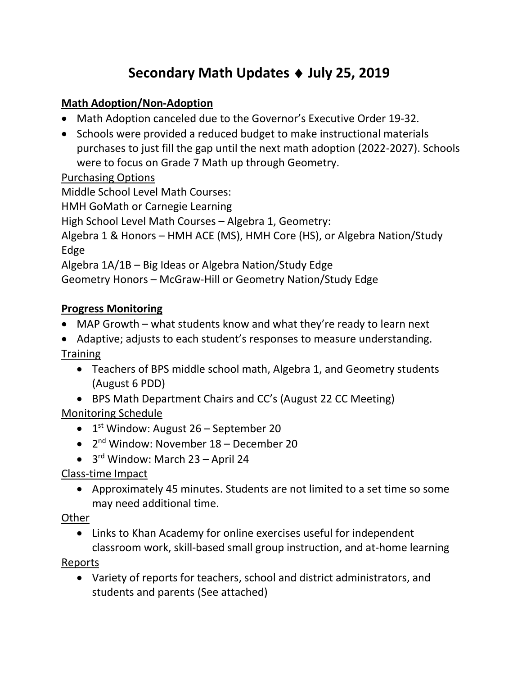# **Secondary Math Updates** ♦ **July 25, 2019**

#### **Math Adoption/Non-Adoption**

- Math Adoption canceled due to the Governor's Executive Order 19-32.
- Schools were provided a reduced budget to make instructional materials purchases to just fill the gap until the next math adoption (2022-2027). Schools were to focus on Grade 7 Math up through Geometry.

#### Purchasing Options

Middle School Level Math Courses:

HMH GoMath or Carnegie Learning

High School Level Math Courses – Algebra 1, Geometry:

Algebra 1 & Honors – HMH ACE (MS), HMH Core (HS), or Algebra Nation/Study Edge

Algebra 1A/1B – Big Ideas or Algebra Nation/Study Edge

Geometry Honors – McGraw-Hill or Geometry Nation/Study Edge

#### **Progress Monitoring**

- MAP Growth what students know and what they're ready to learn next
- Adaptive; adjusts to each student's responses to measure understanding. **Training** 
	- Teachers of BPS middle school math, Algebra 1, and Geometry students (August 6 PDD)
- BPS Math Department Chairs and CC's (August 22 CC Meeting) Monitoring Schedule
	- $\bullet$  1<sup>st</sup> Window: August 26 September 20
	- 2nd Window: November 18 December 20
	- 3rd Window: March 23 April 24

Class-time Impact

• Approximately 45 minutes. Students are not limited to a set time so some may need additional time.

Other

• Links to Khan Academy for online exercises useful for independent classroom work, skill-based small group instruction, and at-home learning

Reports

• Variety of reports for teachers, school and district administrators, and students and parents (See attached)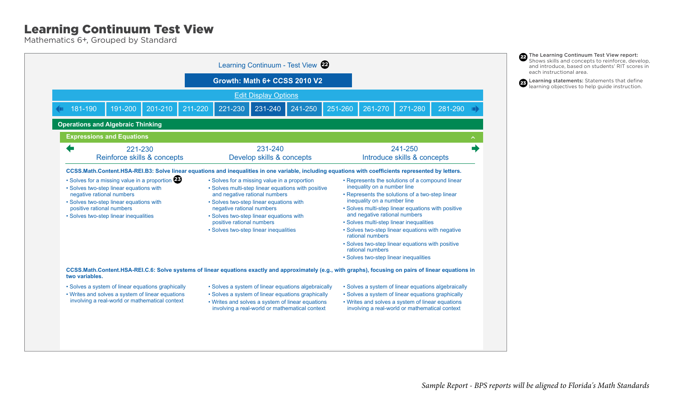## Learning Continuum Test View

Mathematics 6+, Grouped by Standard



22 The Learning Continuum Test View report: Shows skills and concepts to reinforce, develop, and introduce, based on students' RIT scores in each instructional area.

<sup>23</sup> Learning statements: Statements that define learning objectives to help guide instruction.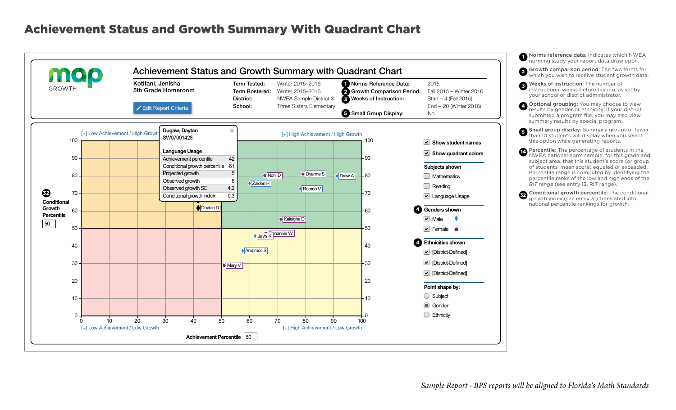## Achievement Status and Growth Summary With Quadrant Chart

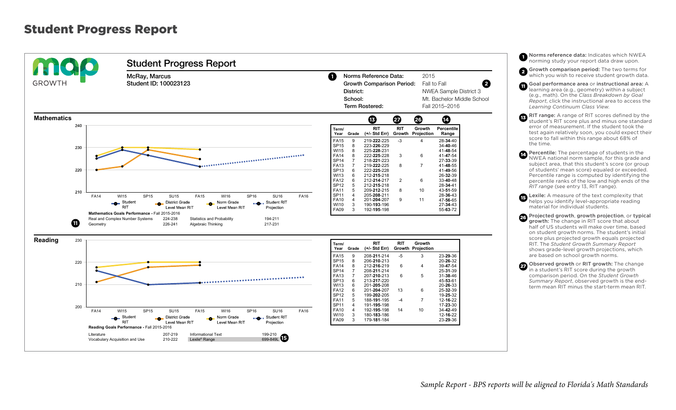## Student Progress Report



1 Norms reference data: Indicates which NWEA norming study your report data draw upon. **2** Growth comparison period: The two terms for which you wish to receive student growth data.

11 Goal performance area or instructional area: A learning area (e.g., geometry) within a subject (e.g., math). On the *Class Breakdown by Goal Report*, click the instructional area to access the *Learning Continuum Class View*.

**13 RIT range:** A range of RIT scores defined by the student's RIT score plus and minus one standard error of measurement. If the student took the test again relatively soon, you could expect their score to fall within this range about 68% of the time.

**14** Percentile: The percentage of students in the NWEA national norm sample, for this grade and subject area, that this student's score (or group of students' mean score) equaled or exceeded. Percentile range is computed by identifying the percentile ranks of the low and high ends of the *RIT range* (see entry 13, RIT range).

15 Lexile: A measure of the text complexity that helps you identify level-appropriate reading material for individual students.

26 Projected growth, growth projection, or typical growth: The change in RIT score that about half of US students will make over time, based on student growth norms. The student's initial score plus projected growth equals projected RIT. The *Student Growth Summary Report* shows grade-level growth projections, which are based on school growth norms.

27 Observed growth or RIT growth: The change in a student's RIT score during the growth comparison period. On the *Student Growth Summary Report*, observed growth is the endterm mean RIT minus the start-term mean RIT.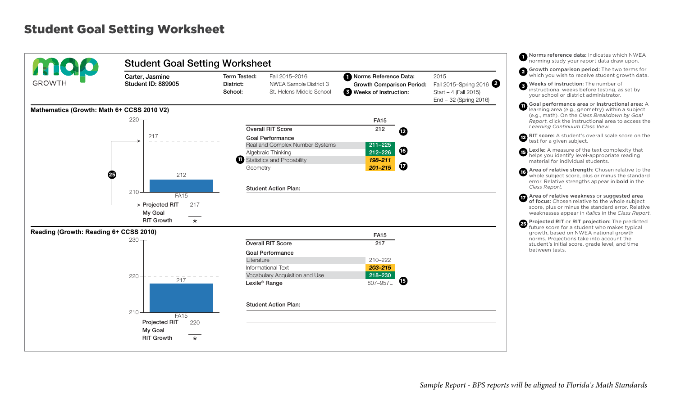## Student Goal Setting Worksheet

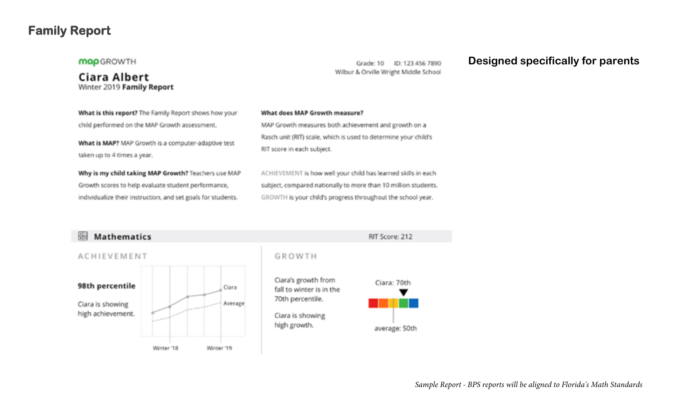## **Family Report**

#### **MQp** GROWTH

**Ciara Albert** Winter 2019 Family Report

Grade: 10 ID: 123 456 7890 Wilbur & Orville Wright Middle School

### **Designed specifically for parents**

What is this report? The Family Report shows how your child performed on the MAP Growth assessment.

What is MAP? MAP Growth is a computer-adaptive test taken up to 4 times a year.

Why is my child taking MAP Growth? Teachers use MAP Growth scores to help evaluate student performance, individualize their instruction, and set goals for students.

#### What does MAP Growth measure?

MAP Growth measures both achievement and growth on a Rasch unit (RIT) scale, which is used to determine your child's RIT score in each subject.

ACHIEVEMENT is how well your child has learned skills in each subject, compared nationally to more than 10 million students. GROWTH is your child's progress throughout the school year.



*Sample Report - BPS reports will be aligned to Florida's Math Standards*